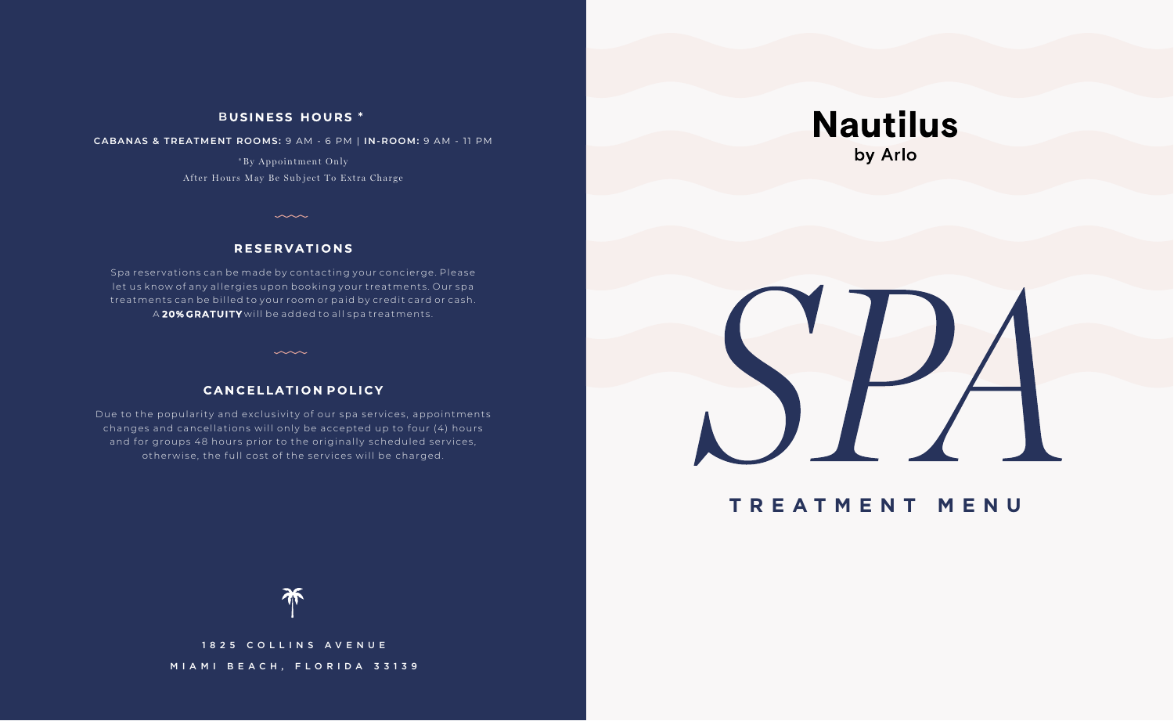### **B USINESS HOURS \***

**CABANAS & TREATMENT ROOMS:** 9 AM - 6 PM | **IN-ROOM:** 9 AM - 11 PM

\*By Appointment Only After Hours May Be Subject To Extra Charge

## **R E SER V A T I ONS**

Spa reservations can be made by contacting your concierge. Please let us know of any allergies upon booking your treatments . Our spa treatments can be billed to your room or paid by credit card or cash. A **20% GRATUITY** will be added to all spa treatments .

### **C A N C E LLA T ION P O LICY**

 $\sim$ 

Due to the popularity and exclusivity of our spa services, appointments changes and cancellations will only be accepted up to four (4) hours and for groups 48 hours prior to the originally scheduled services, otherwise, the full cost of the services will be charged.





# **TREATMENT MENU**



不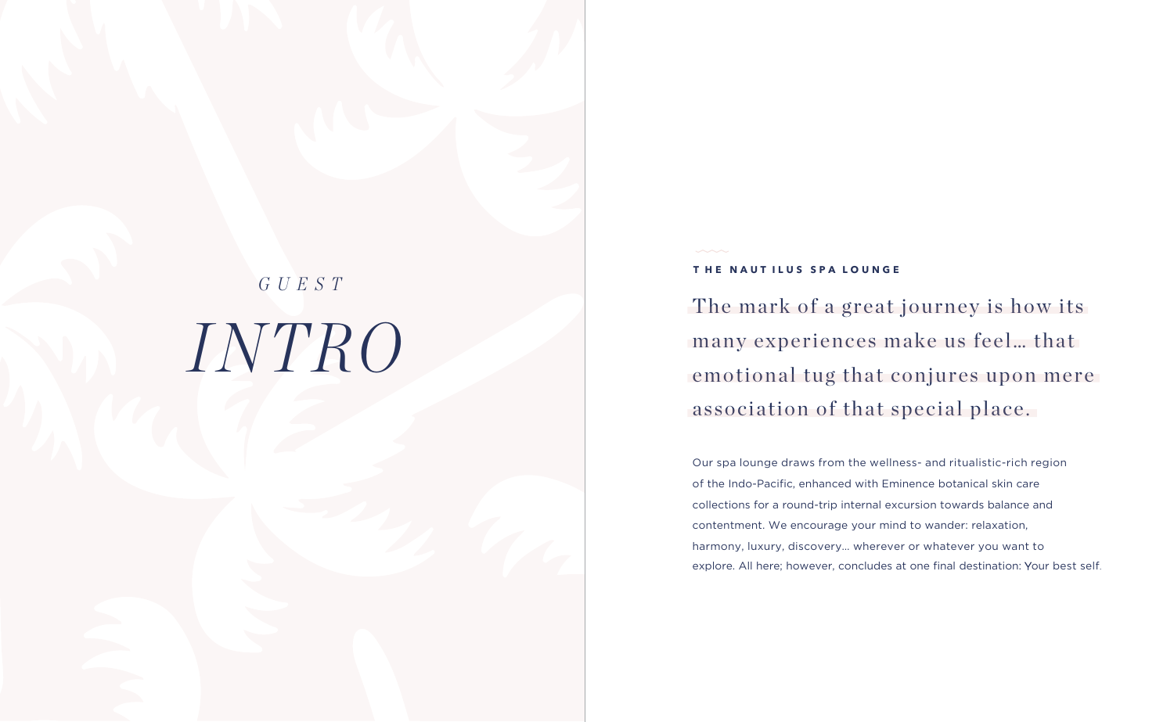# *INTRO GUEST*

## **T HE NAUT ILUS SPA L OUNGE**

The mark of a great journey is how its many experiences make us feel… that emotional tug that conjures upon mere association of that special place.

Our spa lounge draws from the wellness- and ritualistic-rich region of the Indo-Pacific, enhanced with Eminence botanical skin care collections for a round-trip internal excursion towards balance and contentment. We encourage your mind to wander: relaxation, harmony, luxury, discovery… wherever or whatever you want to explore. All here; however, concludes at one final destination: Your best self.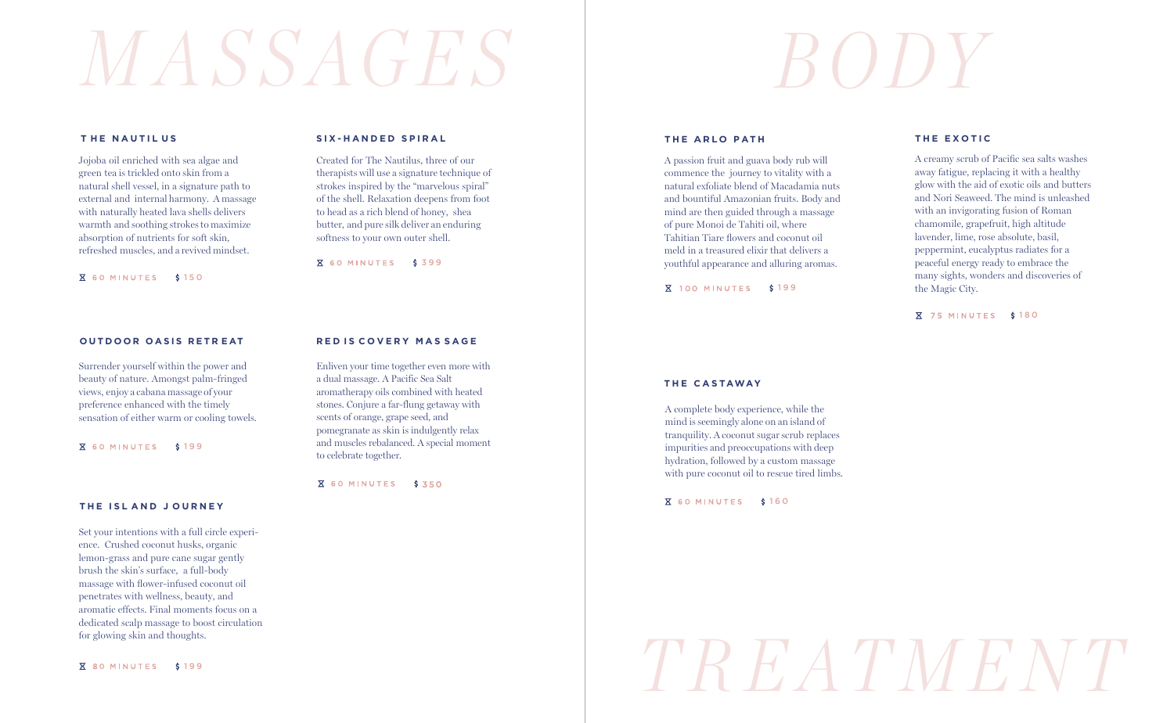# *M A S SAGES BODY*

#### **T HE NAUTIL U S**

Jojoba oil enriched with sea algae and green tea is trickled onto skin from a natural shell vessel, in a signature path to external and internal harmony. A massage with naturally heated lava shells delivers warmth and soothing strokes to maximize absorption of nutrients for soft skin, refreshed muscles, and a revived mindset.

**X** 60 MINUTES \$150

#### **O UTDOOR OASIS RETR E AT**

Surrender yourself within the power and beauty of nature. Amongst palm-fringed views, enjoy a cabana massage of your preference enhanced with the timely sensation of either warm or cooling towels.

**X** 60 MINUTES \$199

#### **THE ISL AND J OURNEY**

Set your intentions with a full circle experience. Crushed coconut husks, organic lemon-grass and pure cane sugar gently brush the skin's surface, a full-body massage with flower-infused coconut oil penetrates with wellness, beauty, and aromatic effects. Final moments focus on a dedicated scalp massage to boost circulation for glowing skin and thoughts.

**X** 80 MINUTES \$199

#### **SIX-HANDED SPIRAL**

Created for The Nautilus, three of our therapists will use a signature technique of strokes inspired by the "marvelous spiral" of the shell. Relaxation deepens from foot to head as a rich blend of honey, shea butter, and pure silk deliver an enduring softness to your own outer shell.

X 60 MINUTES \$399

**RED IS COVERY MASSAGE** 

a dual massage. A Pacific Sea Salt aromatherapy oils combined with heated stones. Conjure a far-flung getaway with scents of orange, grape seed, and pomegranate as skin is indulgently relax and muscles rebalanced. A special moment

**X** 60 MINUTES \$350

to celebrate together.

Enliven your time together even more with

#### **THE ARLO P ATH**

A passion fruit and guava body rub will commence the journey to vitality with a natural exfoliate blend of Macadamia nuts and bountiful Amazonian fruits. Body and mind are then guided through a massage of pure Monoi de Tahiti oil, where Tahitian Tiare flowers and coconut oil meld in a treasured elixir that delivers a youthful appearance and alluring aromas.

**X** 100 MINUTES \$199

#### **THE EXOTIC**

A creamy scrub of Pacific sea salts washes away fatigue, replacing it with a healthy glow with the aid of exotic oils and butters and Nori Seaweed. The mind is unleashed with an invigorating fusion of Roman chamomile, grapefruit, high altitude lavender, lime, rose absolute, basil, peppermint, eucalyptus radiates for a peaceful energy ready to embrace the many sights, wonders and discoveries of the Magic City.

**X 75 MINUTES \$180** 

#### **THE CAS TAWAY**

A complete body experience, while the mind is seemingly alone on an island of tranquility. A coconut sugar scrub replaces impurities and preoccupations with deep hydration, followed by a custom massage with pure coconut oil to rescue tired limbs.

**X** 60 MINUTES \$160

# *TREATMENT*